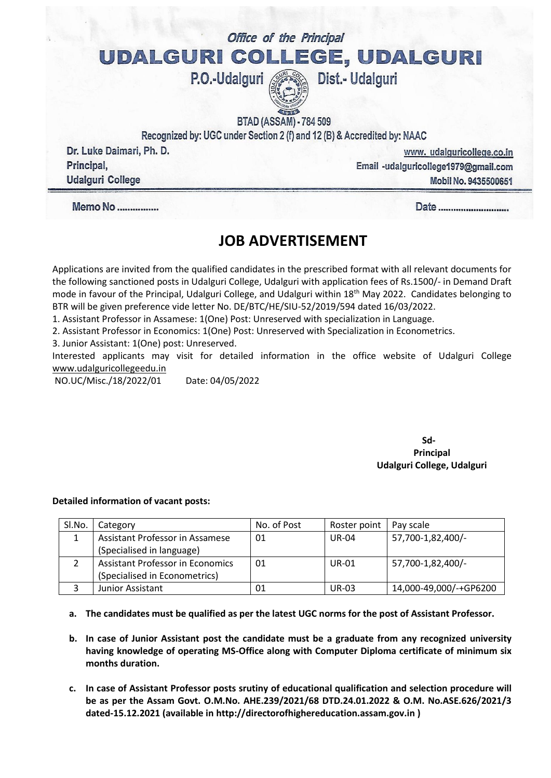## Office of the Principal UDALGURI COLLEGE, UDALGURI P.O.-Udalguri Dist.- Udalguri

**BTAD (ASSAM) - 784 509** 

Recognized by: UGC under Section 2 (f) and 12 (B) & Accredited by: NAAC

Dr. Luke Daimari, Ph. D. Principal, **Udalguri College** 

www.udalguricollege.co.in Email -udalguricollege1979@gmail.com **Mobil No. 9435500651** 

Date ............................

**Memo No ..............** 

# **JOB ADVERTISEMENT**

Applications are invited from the qualified candidates in the prescribed format with all relevant documents for the following sanctioned posts in Udalguri College, Udalguri with application fees of Rs.1500/- in Demand Draft mode in favour of the Principal, Udalguri College, and Udalguri within 18<sup>th</sup> May 2022. Candidates belonging to BTR will be given preference vide letter No. DE/BTC/HE/SIU-52/2019/594 dated 16/03/2022.

1. Assistant Professor in Assamese: 1(One) Post: Unreserved with specialization in Language.

2. Assistant Professor in Economics: 1(One) Post: Unreserved with Specialization in Econometrics.

3. Junior Assistant: 1(One) post: Unreserved.

Interested applicants may visit for detailed information in the office website of Udalguri College [www.udalguricollegeedu.in](http://www.udalguricollegeedu.in/)

NO.UC/Misc./18/2022/01 Date: 04/05/2022

**Sd-Principal Udalguri College, Udalguri**

#### **Detailed information of vacant posts:**

| SI.No. | Category                                | No. of Post | Roster point | Pay scale              |
|--------|-----------------------------------------|-------------|--------------|------------------------|
|        | Assistant Professor in Assamese         | 01          | <b>UR-04</b> | 57,700-1,82,400/-      |
|        | (Specialised in language)               |             |              |                        |
|        | <b>Assistant Professor in Economics</b> | 01          | <b>UR-01</b> | 57,700-1,82,400/-      |
|        | (Specialised in Econometrics)           |             |              |                        |
|        | Junior Assistant                        | 01          | <b>UR-03</b> | 14,000-49,000/-+GP6200 |

**a. The candidates must be qualified as per the latest UGC norms for the post of Assistant Professor.**

- **b. In case of Junior Assistant post the candidate must be a graduate from any recognized university having knowledge of operating MS-Office along with Computer Diploma certificate of minimum six months duration.**
- **c. In case of Assistant Professor posts srutiny of educational qualification and selection procedure will be as per the Assam Govt. O.M.No. AHE.239/2021/68 DTD.24.01.2022 & O.M. No.ASE.626/2021/3 dated-15.12.2021 (available i[n http://directorofhighereducation.assam.gov.in](http://directorofhighereducation.assam.gov.in/) )**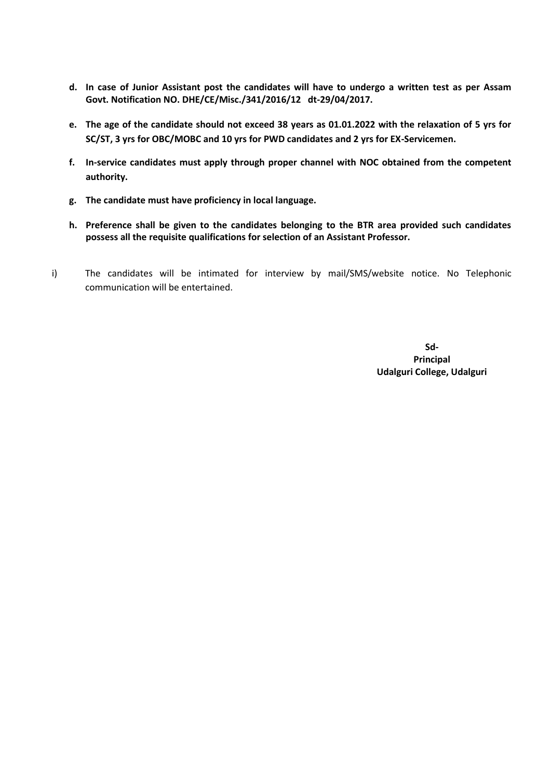- **d. In case of Junior Assistant post the candidates will have to undergo a written test as per Assam Govt. Notification NO. DHE/CE/Misc./341/2016/12 dt-29/04/2017.**
- **e. The age of the candidate should not exceed 38 years as 01.01.2022 with the relaxation of 5 yrs for SC/ST, 3 yrs for OBC/MOBC and 10 yrs for PWD candidates and 2 yrs for EX-Servicemen.**
- **f. In-service candidates must apply through proper channel with NOC obtained from the competent authority.**
- **g. The candidate must have proficiency in local language.**
- **h. Preference shall be given to the candidates belonging to the BTR area provided such candidates possess all the requisite qualifications for selection of an Assistant Professor.**
- i) The candidates will be intimated for interview by mail/SMS/website notice. No Telephonic communication will be entertained.

**Sd-Principal Udalguri College, Udalguri**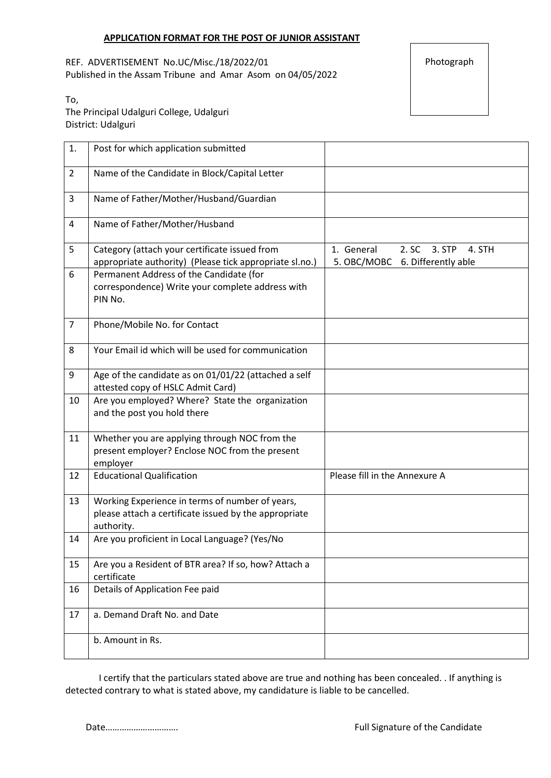REF. ADVERTISEMENT No.UC/Misc./18/2022/01 Published in the Assam Tribune and Amar Asom on 04/05/2022 Photograph

To, The Principal Udalguri College, Udalguri District: Udalguri

| 1.             | Post for which application submitted                                                                                   |                                                                            |
|----------------|------------------------------------------------------------------------------------------------------------------------|----------------------------------------------------------------------------|
| $\overline{2}$ | Name of the Candidate in Block/Capital Letter                                                                          |                                                                            |
| 3              | Name of Father/Mother/Husband/Guardian                                                                                 |                                                                            |
| 4              | Name of Father/Mother/Husband                                                                                          |                                                                            |
| 5              | Category (attach your certificate issued from<br>appropriate authority) (Please tick appropriate sl.no.)               | 1. General<br>2. SC 3. STP<br>4. STH<br>5. OBC/MOBC<br>6. Differently able |
| 6              | Permanent Address of the Candidate (for<br>correspondence) Write your complete address with<br>PIN No.                 |                                                                            |
| $\overline{7}$ | Phone/Mobile No. for Contact                                                                                           |                                                                            |
| 8              | Your Email id which will be used for communication                                                                     |                                                                            |
| 9              | Age of the candidate as on 01/01/22 (attached a self<br>attested copy of HSLC Admit Card)                              |                                                                            |
| 10             | Are you employed? Where? State the organization<br>and the post you hold there                                         |                                                                            |
| 11             | Whether you are applying through NOC from the<br>present employer? Enclose NOC from the present<br>employer            |                                                                            |
| 12             | <b>Educational Qualification</b>                                                                                       | Please fill in the Annexure A                                              |
| 13             | Working Experience in terms of number of years,<br>please attach a certificate issued by the appropriate<br>authority. |                                                                            |
| 14             | Are you proficient in Local Language? (Yes/No                                                                          |                                                                            |
| 15             | Are you a Resident of BTR area? If so, how? Attach a<br>certificate                                                    |                                                                            |
| 16             | Details of Application Fee paid                                                                                        |                                                                            |
| 17             | a. Demand Draft No. and Date                                                                                           |                                                                            |
|                | b. Amount in Rs.                                                                                                       |                                                                            |

I certify that the particulars stated above are true and nothing has been concealed. . If anything is detected contrary to what is stated above, my candidature is liable to be cancelled.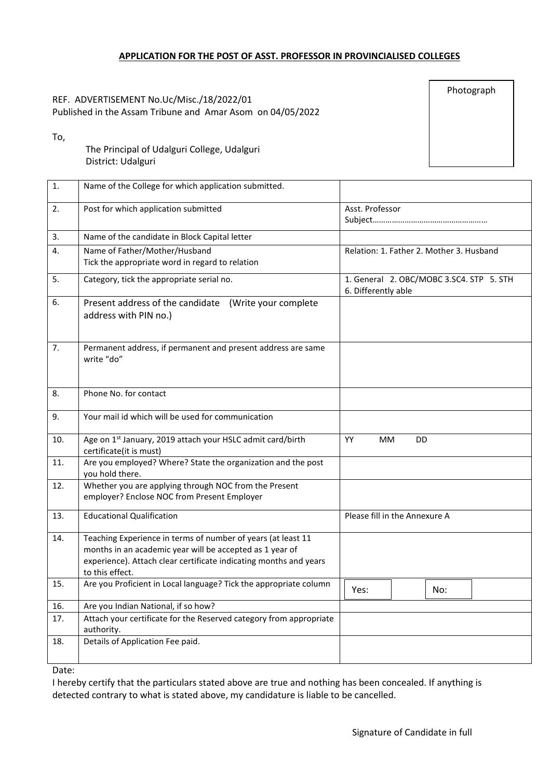#### **APPLICATION FOR THE POST OF ASST. PROFESSOR IN PROVINCIALISED COLLEGES**

#### REF. ADVERTISEMENT No.Uc/Misc./18/2022/01 Published in the Assam Tribune and Amar Asom on 04/05/2022

Photograph

To,

The Principal of Udalguri College, Udalguri District: Udalguri

| 1.  | Name of the College for which application submitted.               |                                          |     |     |  |  |
|-----|--------------------------------------------------------------------|------------------------------------------|-----|-----|--|--|
| 2.  | Post for which application submitted                               | Asst. Professor                          |     |     |  |  |
|     |                                                                    |                                          |     |     |  |  |
| 3.  | Name of the candidate in Block Capital letter                      |                                          |     |     |  |  |
| 4.  | Name of Father/Mother/Husband                                      | Relation: 1. Father 2. Mother 3. Husband |     |     |  |  |
|     | Tick the appropriate word in regard to relation                    |                                          |     |     |  |  |
| 5.  | Category, tick the appropriate serial no.                          | 1. General 2. OBC/MOBC 3.SC4. STP 5. STH |     |     |  |  |
|     |                                                                    | 6. Differently able                      |     |     |  |  |
| 6.  | Present address of the candidate (Write your complete              |                                          |     |     |  |  |
|     | address with PIN no.)                                              |                                          |     |     |  |  |
|     |                                                                    |                                          |     |     |  |  |
| 7.  | Permanent address, if permanent and present address are same       |                                          |     |     |  |  |
|     | write "do"                                                         |                                          |     |     |  |  |
|     |                                                                    |                                          |     |     |  |  |
|     |                                                                    |                                          |     |     |  |  |
| 8.  | Phone No. for contact                                              |                                          |     |     |  |  |
| 9.  | Your mail id which will be used for communication                  |                                          |     |     |  |  |
|     |                                                                    |                                          |     |     |  |  |
| 10. | Age on 1st January, 2019 attach your HSLC admit card/birth         | YY<br><b>MM</b>                          | DD. |     |  |  |
|     | certificate(it is must)                                            |                                          |     |     |  |  |
| 11. | Are you employed? Where? State the organization and the post       |                                          |     |     |  |  |
|     | you hold there.                                                    |                                          |     |     |  |  |
| 12. | Whether you are applying through NOC from the Present              |                                          |     |     |  |  |
|     | employer? Enclose NOC from Present Employer                        |                                          |     |     |  |  |
| 13. | <b>Educational Qualification</b>                                   | Please fill in the Annexure A            |     |     |  |  |
|     |                                                                    |                                          |     |     |  |  |
| 14. | Teaching Experience in terms of number of years (at least 11       |                                          |     |     |  |  |
|     | months in an academic year will be accepted as 1 year of           |                                          |     |     |  |  |
|     | experience). Attach clear certificate indicating months and years  |                                          |     |     |  |  |
|     | to this effect.                                                    |                                          |     |     |  |  |
| 15. | Are you Proficient in Local language? Tick the appropriate column  | Yes:                                     |     | No: |  |  |
| 16. | Are you Indian National, if so how?                                |                                          |     |     |  |  |
| 17. | Attach your certificate for the Reserved category from appropriate |                                          |     |     |  |  |
|     | authority.                                                         |                                          |     |     |  |  |
| 18. | Details of Application Fee paid.                                   |                                          |     |     |  |  |
|     |                                                                    |                                          |     |     |  |  |
|     |                                                                    |                                          |     |     |  |  |

Date:

I hereby certify that the particulars stated above are true and nothing has been concealed. If anything is detected contrary to what is stated above, my candidature is liable to be cancelled.